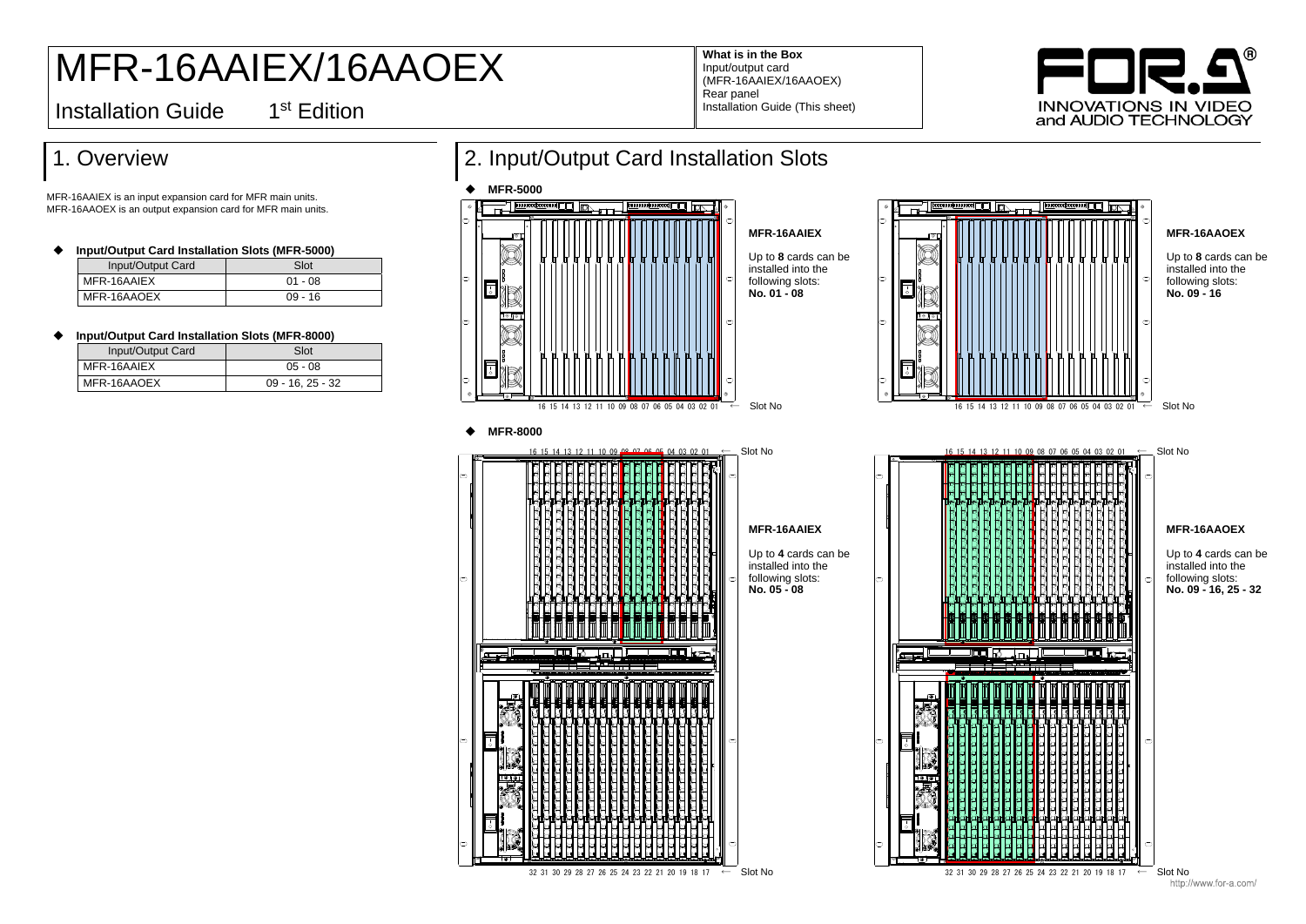### 1. Overview

MFR-16AAIEX is an input expansion card for MFR main units. MFR-16AAOEX is an output expansion card for MFR main units.

◆ **Input/Output Card Installation Slots (MFR-8000)** 

| Input/Output Card Installation Slots (MFR-5000) |           |  |
|-------------------------------------------------|-----------|--|
| Input/Output Card                               | Slot      |  |
| MFR-16AAIEX                                     | $01 - 08$ |  |
| MFR-16AAOEX                                     | $09 - 16$ |  |

| Input/Output Card | Slot               |
|-------------------|--------------------|
| $IMFR-16AAIEX$    | $05 - 08$          |
| MFR-16AAOEX       | $09 - 16, 25 - 32$ |

# MFR-16AAIEX/16AAOEX

**What is in the Box** Input/output card (MFR-16AAIEX/16AAOEX) Rear panel Installation Guide (This sheet)

**Installation Guide** 

1<sup>st</sup> Edition